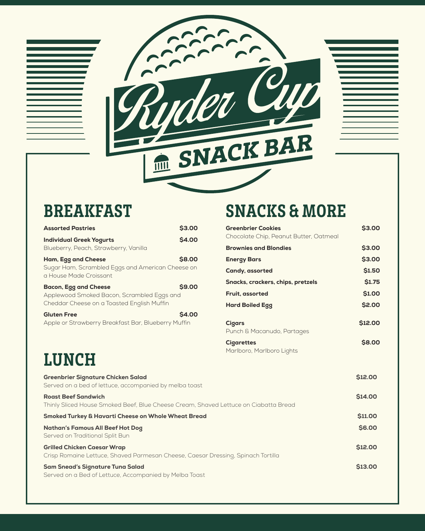

| <b>Assorted Pastries</b>                                                                                               | <b>S3.00</b>  | <b>Greenbrier Cookies</b>        |
|------------------------------------------------------------------------------------------------------------------------|---------------|----------------------------------|
| <b>Individual Greek Yogurts</b>                                                                                        | <b>\$4.00</b> | Chocolate Chip, Peanut E         |
| Blueberry, Peach, Strawberry, Vanilla                                                                                  |               | <b>Brownies and Blondies</b>     |
| Ham, Egg and Cheese                                                                                                    | \$8.00        | <b>Energy Bars</b>               |
| Sugar Ham, Scrambled Eggs and American Cheese on<br>a House Made Croissant                                             |               | Candy, assorted                  |
| <b>Bacon, Egg and Cheese</b>                                                                                           | <b>\$9.00</b> | Snacks, crackers, chips,         |
| Applewood Smoked Bacon, Scrambled Eggs and                                                                             |               | Fruit, assorted                  |
| Cheddar Cheese on a Toasted English Muffin                                                                             |               | <b>Hard Boiled Egg</b>           |
| <b>Gluten Free</b>                                                                                                     | \$4.00        |                                  |
| Apple or Strawberry Breakfast Bar, Blueberry Muffin                                                                    |               | Cigars<br>Punch & Macanudo, Part |
|                                                                                                                        |               | <b>Cigarettes</b>                |
| <b>LUNCH</b>                                                                                                           |               | Marlboro, Marlboro Light         |
| <b>Greenbrier Signature Chicken Salad</b><br>Served on a bed of lettuce, accompanied by melba toast                    |               |                                  |
| <b>Roast Beef Sandwich</b><br>Thinly Sliced House Smoked Beef, Blue Cheese Cream, Shaved Lettuce on Ciabatta Bread     |               |                                  |
| <b>Smoked Turkey &amp; Havarti Cheese on Whole Wheat Bread</b>                                                         |               |                                  |
| <b>Nathan's Famous All Beef Hot Dog</b><br>Served on Traditional Split Bun                                             |               |                                  |
| <b>Grilled Chicken Caesar Wrap</b><br>Crisp Romaine Lettuce, Shaved Parmesan Cheese, Caesar Dressing, Spinach Tortilla |               |                                  |
| <b>Sam Snead's Signature Tuna Salad</b>                                                                                |               |                                  |
|                                                                                                                        |               |                                  |

BREAKFAST SNACKS & MORE

| <b>Assorted Pastries</b>                                                                                               | <b>S3.00</b>  | <b>Greenbrier Cookies</b>                   | <b>S3.00</b>   |
|------------------------------------------------------------------------------------------------------------------------|---------------|---------------------------------------------|----------------|
| <b>Individual Greek Yogurts</b>                                                                                        | <b>\$4.00</b> | Chocolate Chip, Peanut Butter, Oatmeal      |                |
| Blueberry, Peach, Strawberry, Vanilla                                                                                  |               | <b>Brownies and Blondies</b>                | <b>\$3.00</b>  |
| Ham, Egg and Cheese                                                                                                    | <b>\$8.00</b> | <b>Energy Bars</b>                          | \$3.00         |
| Sugar Ham, Scrambled Eggs and American Cheese on<br>a House Made Croissant                                             |               | <b>Candy, assorted</b>                      | <b>\$1.50</b>  |
| <b>Bacon, Egg and Cheese</b>                                                                                           | <b>\$9.00</b> | Snacks, crackers, chips, pretzels           | <b>S1.75</b>   |
| Applewood Smoked Bacon, Scrambled Eggs and                                                                             |               | Fruit, assorted                             | <b>\$1.00</b>  |
| Cheddar Cheese on a Toasted English Muffin                                                                             |               | <b>Hard Boiled Egg</b>                      | \$2.00         |
| <b>Gluten Free</b>                                                                                                     | \$4.00        |                                             |                |
| Apple or Strawberry Breakfast Bar, Blueberry Muffin                                                                    |               | <b>Cigars</b><br>Punch & Macanudo, Partages | \$12.00        |
|                                                                                                                        |               | <b>Cigarettes</b>                           | <b>\$8.00</b>  |
| LUNCH                                                                                                                  |               | Marlboro, Marlboro Lights                   |                |
| Greenbrier Signature Chicken Salad<br>Served on a bed of lettuce, accompanied by melba toast                           |               |                                             | \$12.00        |
| <b>Roast Beef Sandwich</b><br>Thinly Sliced House Smoked Beef, Blue Cheese Cream, Shaved Lettuce on Ciabatta Bread     |               |                                             | <b>\$14.00</b> |
| Smoked Turkey & Havarti Cheese on Whole Wheat Bread                                                                    |               |                                             | <b>\$11.00</b> |
| <b>Nathan's Famous All Beef Hot Dog</b><br>Served on Traditional Split Bun                                             |               |                                             | <b>\$6.00</b>  |
| <b>Grilled Chicken Caesar Wrap</b><br>Crisp Romaine Lettuce, Shaved Parmesan Cheese, Caesar Dressing, Spinach Tortilla |               |                                             | <b>\$12.00</b> |
| Sam Snead's Signature Tuna Salad                                                                                       |               |                                             | \$13.00        |

Served on a Bed of Lettuce, Accompanied by Melba Toast